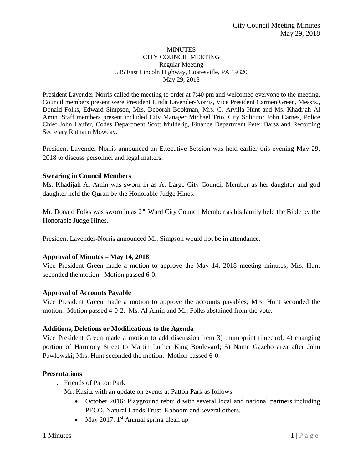#### **MINUTES** CITY COUNCIL MEETING Regular Meeting 545 East Lincoln Highway, Coatesville, PA 19320 May 29, 2018

President Lavender-Norris called the meeting to order at 7:40 pm and welcomed everyone to the meeting. Council members present were President Linda Lavender-Norris, Vice President Carmen Green, Messrs., Donald Folks, Edward Simpson, Mrs. Deborah Bookman, Mrs. C. Arvilla Hunt and Ms. Khadijah Al Amin. Staff members present included City Manager Michael Trio, City Solicitor John Carnes, Police Chief John Laufer, Codes Department Scott Mulderig, Finance Department Peter Barsz and Recording Secretary Ruthann Mowday.

President Lavender-Norris announced an Executive Session was held earlier this evening May 29, 2018 to discuss personnel and legal matters.

### **Swearing in Council Members**

Ms. Khadijah Al Amin was sworn in as At Large City Council Member as her daughter and god daughter held the Quran by the Honorable Judge Hines.

Mr. Donald Folks was sworn in as 2<sup>nd</sup> Ward City Council Member as his family held the Bible by the Honorable Judge Hines.

President Lavender-Norris announced Mr. Simpson would not be in attendance.

### **Approval of Minutes – May 14, 2018**

Vice President Green made a motion to approve the May 14, 2018 meeting minutes; Mrs. Hunt seconded the motion. Motion passed 6-0.

### **Approval of Accounts Payable**

Vice President Green made a motion to approve the accounts payables; Mrs. Hunt seconded the motion. Motion passed 4-0-2. Ms. Al Amin and Mr. Folks abstained from the vote.

### **Additions, Deletions or Modifications to the Agenda**

Vice President Green made a motion to add discussion item 3) thumbprint timecard; 4) changing portion of Harmony Street to Martin Luther King Boulevard; 5) Name Gazebo area after John Pawlowski; Mrs. Hunt seconded the motion. Motion passed 6-0.

### **Presentations**

1. Friends of Patton Park

Mr. Kasitz with an update on events at Patton Park as follows:

- October 2016: Playground rebuild with several local and national partners including PECO, Natural Lands Trust, Kaboom and several others.
- May 2017:  $1<sup>st</sup>$  Annual spring clean up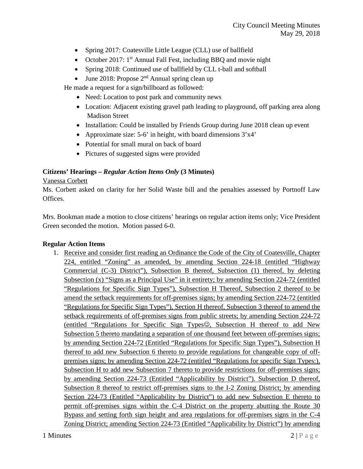- Spring 2017: Coatesville Little League (CLL) use of ballfield
- October 2017:  $1<sup>st</sup>$  Annual Fall Fest, including BBQ and movie night
- Spring 2018: Continued use of ballfield by CLL t-ball and softball
- June 2018: Propose  $2<sup>nd</sup>$  Annual spring clean up

He made a request for a sign/billboard as followed:

- Need: Location to post park and community news
- Location: Adjacent existing gravel path leading to playground, off parking area along Madison Street
- Installation: Could be installed by Friends Group during June 2018 clean up event
- Approximate size: 5-6' in height, with board dimensions  $3'x4'$
- Potential for small mural on back of board
- Pictures of suggested signs were provided

# **Citizens' Hearings –** *Regular Action Items Only* **(3 Minutes)**

### Vanessa Corbett

Ms. Corbett asked on clarity for her Solid Waste bill and the penalties assessed by Portnoff Law Offices.

Mrs. Bookman made a motion to close citizens' hearings on regular action items only; Vice President Green seconded the motion. Motion passed 6-0.

### **Regular Action Items**

1. Receive and consider first reading an Ordinance the Code of the City of Coatesville, Chapter 224, entitled "Zoning" as amended, by amending Section 224-18 (entitled "Highway Commercial (C-3) District"), Subsection B thereof, Subsection (1) thereof, by deleting Subsection  $(x)$  "Signs as a Principal Use" in it entirety; by amending Section 224-72 (entitled "Regulations for Specific Sign Types"), Subsection H Thereof, Subsection 2 thereof to be amend the setback requirements for off-premises signs; by amending Section 224-72 (entitled "Regulations for Specific Sign Types"), Section H thereof, Subsection 3 thereof to amend the setback requirements of off-premises signs from public streets; by amending Section 224-72 (entitled "Regulations for Specific Sign Types $\mathcal{O}$ , Subsection H thereof to add New Subsection 5 thereto mandating a separation of one thousand feet between off-premises signs; by amending Section 224-72 (Entitled "Regulations for Specific Sign Types"), Subsection H thereof to add new Subsection 6 thereto to provide regulations for changeable copy of offpremises signs; by amending Section 224-72 (entitled "Regulations for specific Sign Types:), Subsection H to add new Subsection 7 thereto to provide restrictions for off-premises signs; by amending Section 224-73 (Entitled "Applicability by District"). Subsection D thereof, Subsection 8 thereof to restrict off-premises signs to the I-2 Zoning District; by amending Section 224-73 (Entitled "Applicability by District") to add new Subsection E thereto to permit off-premises signs within the C-4 District on the property abutting the Route 30 Bypass and setting forth sign height and area regulations for off-premises signs in the C-4 Zoning District; amending Section 224-73 (Entitled "Applicability by District") by amending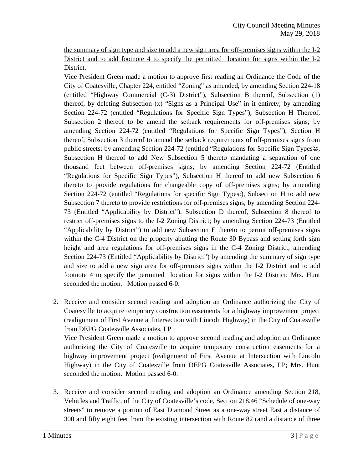the summary of sign type and size to add a new sign area for off-premises signs within the I-2 District and to add footnote 4 to specify the permitted location for signs within the I-2 District.

Vice President Green made a motion to approve first reading an Ordinance the Code of the City of Coatesville, Chapter 224, entitled "Zoning" as amended, by amending Section 224-18 (entitled "Highway Commercial (C-3) District"), Subsection B thereof, Subsection (1) thereof, by deleting Subsection (x) "Signs as a Principal Use" in it entirety; by amending Section 224-72 (entitled "Regulations for Specific Sign Types"), Subsection H Thereof, Subsection 2 thereof to be amend the setback requirements for off-premises signs; by amending Section 224-72 (entitled "Regulations for Specific Sign Types"), Section H thereof, Subsection 3 thereof to amend the setback requirements of off-premises signs from public streets; by amending Section 224-72 (entitled "Regulations for Specific Sign Types $\odot$ , Subsection H thereof to add New Subsection 5 thereto mandating a separation of one thousand feet between off-premises signs; by amending Section 224-72 (Entitled "Regulations for Specific Sign Types"), Subsection H thereof to add new Subsection 6 thereto to provide regulations for changeable copy of off-premises signs; by amending Section 224-72 (entitled "Regulations for specific Sign Types:), Subsection H to add new Subsection 7 thereto to provide restrictions for off-premises signs; by amending Section 224- 73 (Entitled "Applicability by District"). Subsection D thereof, Subsection 8 thereof to restrict off-premises signs to the I-2 Zoning District; by amending Section 224-73 (Entitled "Applicability by District") to add new Subsection E thereto to permit off-premises signs within the C-4 District on the property abutting the Route 30 Bypass and setting forth sign height and area regulations for off-premises signs in the C-4 Zoning District; amending Section 224-73 (Entitled "Applicability by District") by amending the summary of sign type and size to add a new sign area for off-premises signs within the I-2 District and to add footnote 4 to specify the permitted location for signs within the I-2 District; Mrs. Hunt seconded the motion. Motion passed 6-0.

2. Receive and consider second reading and adoption an Ordinance authorizing the City of Coatesville to acquire temporary construction easements for a highway improvement project (realignment of First Avenue at Intersection with Lincoln Highway) in the City of Coatesville from DEPG Coatesville Associates, LP

Vice President Green made a motion to approve second reading and adoption an Ordinance authorizing the City of Coatesville to acquire temporary construction easements for a highway improvement project (realignment of First Avenue at Intersection with Lincoln Highway) in the City of Coatesville from DEPG Coatesville Associates, LP; Mrs. Hunt seconded the motion. Motion passed 6-0.

3. Receive and consider second reading and adoption an Ordinance amending Section 218, Vehicles and Traffic, of the City of Coatesville's code, Section 218.46 "Schedule of one-way streets" to remove a portion of East Diamond Street as a one-way street East a distance of 300 and fifty eight feet from the existing intersection with Route 82 (and a distance of three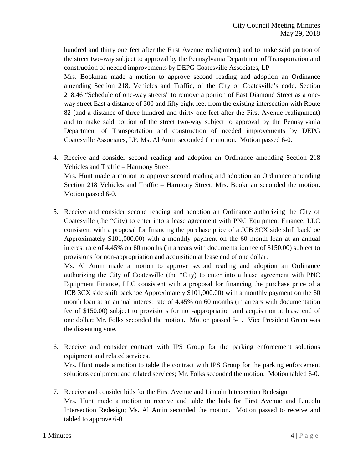hundred and thirty one feet after the First Avenue realignment) and to make said portion of the street two-way subject to approval by the Pennsylvania Department of Transportation and construction of needed improvements by DEPG Coatesville Associates, LP

Mrs. Bookman made a motion to approve second reading and adoption an Ordinance amending Section 218, Vehicles and Traffic, of the City of Coatesville's code, Section 218.46 "Schedule of one-way streets" to remove a portion of East Diamond Street as a oneway street East a distance of 300 and fifty eight feet from the existing intersection with Route 82 (and a distance of three hundred and thirty one feet after the First Avenue realignment) and to make said portion of the street two-way subject to approval by the Pennsylvania Department of Transportation and construction of needed improvements by DEPG Coatesville Associates, LP; Ms. Al Amin seconded the motion. Motion passed 6-0.

4. Receive and consider second reading and adoption an Ordinance amending Section 218 Vehicles and Traffic – Harmony Street

Mrs. Hunt made a motion to approve second reading and adoption an Ordinance amending Section 218 Vehicles and Traffic – Harmony Street; Mrs. Bookman seconded the motion. Motion passed 6-0.

5. Receive and consider second reading and adoption an Ordinance authorizing the City of Coatesville (the "City) to enter into a lease agreement with PNC Equipment Finance, LLC consistent with a proposal for financing the purchase price of a JCB 3CX side shift backhoe Approximately \$101,000.00) with a monthly payment on the 60 month loan at an annual interest rate of 4.45% on 60 months (in arrears with documentation fee of \$150.00) subject to provisions for non-appropriation and acquisition at lease end of one dollar.

Ms. Al Amin made a motion to approve second reading and adoption an Ordinance authorizing the City of Coatesville (the "City) to enter into a lease agreement with PNC Equipment Finance, LLC consistent with a proposal for financing the purchase price of a JCB 3CX side shift backhoe Approximately \$101,000.00) with a monthly payment on the 60 month loan at an annual interest rate of 4.45% on 60 months (in arrears with documentation fee of \$150.00) subject to provisions for non-appropriation and acquisition at lease end of one dollar; Mr. Folks seconded the motion. Motion passed 5-1. Vice President Green was the dissenting vote.

6. Receive and consider contract with IPS Group for the parking enforcement solutions equipment and related services.

Mrs. Hunt made a motion to table the contract with IPS Group for the parking enforcement solutions equipment and related services; Mr. Folks seconded the motion. Motion tabled 6-0.

7. Receive and consider bids for the First Avenue and Lincoln Intersection Redesign Mrs. Hunt made a motion to receive and table the bids for First Avenue and Lincoln Intersection Redesign; Ms. Al Amin seconded the motion. Motion passed to receive and tabled to approve 6-0.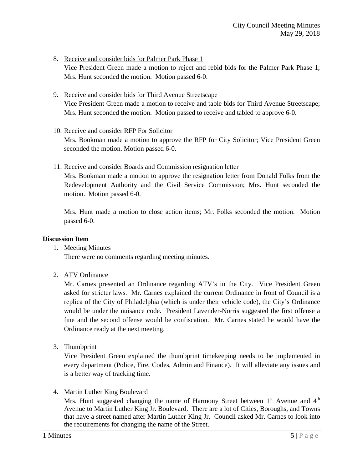8. Receive and consider bids for Palmer Park Phase 1

Vice President Green made a motion to reject and rebid bids for the Palmer Park Phase 1; Mrs. Hunt seconded the motion. Motion passed 6-0.

9. Receive and consider bids for Third Avenue Streetscape

Vice President Green made a motion to receive and table bids for Third Avenue Streetscape; Mrs. Hunt seconded the motion. Motion passed to receive and tabled to approve 6-0.

10. Receive and consider RFP For Solicitor

Mrs. Bookman made a motion to approve the RFP for City Solicitor; Vice President Green seconded the motion. Motion passed 6-0.

11. Receive and consider Boards and Commission resignation letter

Mrs. Bookman made a motion to approve the resignation letter from Donald Folks from the Redevelopment Authority and the Civil Service Commission; Mrs. Hunt seconded the motion. Motion passed 6-0.

Mrs. Hunt made a motion to close action items; Mr. Folks seconded the motion. Motion passed 6-0.

### **Discussion Item**

1. Meeting Minutes

There were no comments regarding meeting minutes.

2. ATV Ordinance

Mr. Carnes presented an Ordinance regarding ATV's in the City. Vice President Green asked for stricter laws. Mr. Carnes explained the current Ordinance in front of Council is a replica of the City of Philadelphia (which is under their vehicle code), the City's Ordinance would be under the nuisance code. President Lavender-Norris suggested the first offense a fine and the second offense would be confiscation. Mr. Carnes stated he would have the Ordinance ready at the next meeting.

3. Thumbprint

Vice President Green explained the thumbprint timekeeping needs to be implemented in every department (Police, Fire, Codes, Admin and Finance). It will alleviate any issues and is a better way of tracking time.

4. Martin Luther King Boulevard

Mrs. Hunt suggested changing the name of Harmony Street between  $1<sup>st</sup>$  Avenue and  $4<sup>th</sup>$ Avenue to Martin Luther King Jr. Boulevard. There are a lot of Cities, Boroughs, and Towns that have a street named after Martin Luther King Jr. Council asked Mr. Carnes to look into the requirements for changing the name of the Street.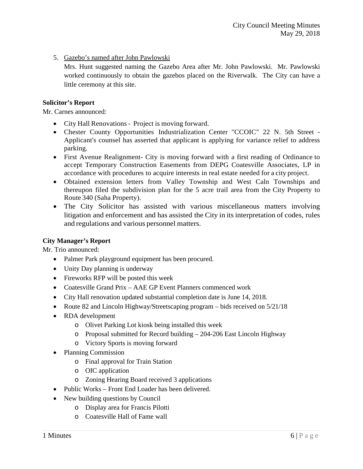5. Gazebo's named after John Pawlowski

Mrs. Hunt suggested naming the Gazebo Area after Mr. John Pawlowski. Mr. Pawlowski worked continuously to obtain the gazebos placed on the Riverwalk. The City can have a little ceremony at this site.

# **Solicitor's Report**

Mr. Carnes announced:

- City Hall Renovations Project is moving forward.
- Chester County Opportunities Industrialization Center "CCOIC" 22 N. 5th Street -Applicant's counsel has asserted that applicant is applying for variance relief to address parking.
- First Avenue Realignment- City is moving forward with a first reading of Ordinance to accept Temporary Construction Easements from DEPG Coatesville Associates, LP in accordance with procedures to acquire interests in real estate needed for a city project.
- Obtained extension letters from Valley Township and West Caln Townships and thereupon filed the subdivision plan for the 5 acre trail area from the City Property to Route 340 (Saha Property).
- The City Solicitor has assisted with various miscellaneous matters involving litigation and enforcement and has assisted the City in its interpretation of codes, rules and regulations and various personnel matters.

# **City Manager's Report**

Mr. Trio announced:

- Palmer Park playground equipment has been procured.
- Unity Day planning is underway
- Fireworks RFP will be posted this week
- Coatesville Grand Prix AAE GP Event Planners commenced work
- City Hall renovation updated substantial completion date is June 14, 2018.
- Route 82 and Lincoln Highway/Streetscaping program bids received on  $5/21/18$
- RDA development
	- o Olivet Parking Lot kiosk being installed this week
	- o Proposal submitted for Record building 204-206 East Lincoln Highway
	- o Victory Sports is moving forward
- Planning Commission
	- o Final approval for Train Station
	- o OIC application
	- o Zoning Hearing Board received 3 applications
- Public Works Front End Loader has been delivered.
- New building questions by Council
	- o Display area for Francis Pilotti
	- o Coatesville Hall of Fame wall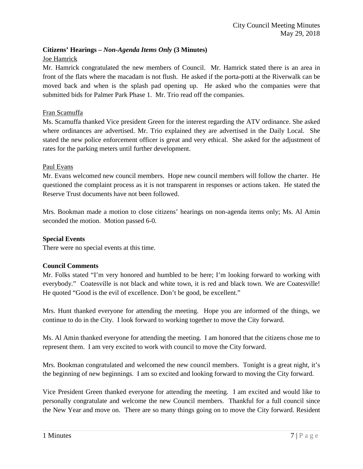# **Citizens' Hearings –** *Non-Agenda Items Only* **(3 Minutes)**

### Joe Hamrick

Mr. Hamrick congratulated the new members of Council. Mr. Hamrick stated there is an area in front of the flats where the macadam is not flush. He asked if the porta-potti at the Riverwalk can be moved back and when is the splash pad opening up. He asked who the companies were that submitted bids for Palmer Park Phase 1. Mr. Trio read off the companies.

### Fran Scamuffa

Ms. Scamuffa thanked Vice president Green for the interest regarding the ATV ordinance. She asked where ordinances are advertised. Mr. Trio explained they are advertised in the Daily Local. She stated the new police enforcement officer is great and very ethical. She asked for the adjustment of rates for the parking meters until further development.

### Paul Evans

Mr. Evans welcomed new council members. Hope new council members will follow the charter. He questioned the complaint process as it is not transparent in responses or actions taken. He stated the Reserve Trust documents have not been followed.

Mrs. Bookman made a motion to close citizens' hearings on non-agenda items only; Ms. Al Amin seconded the motion. Motion passed 6-0.

### **Special Events**

There were no special events at this time.

### **Council Comments**

Mr. Folks stated "I'm very honored and humbled to be here; I'm looking forward to working with everybody." Coatesville is not black and white town, it is red and black town. We are Coatesville! He quoted "Good is the evil of excellence. Don't be good, be excellent."

Mrs. Hunt thanked everyone for attending the meeting. Hope you are informed of the things, we continue to do in the City. I look forward to working together to move the City forward.

Ms. Al Amin thanked everyone for attending the meeting. I am honored that the citizens chose me to represent them. I am very excited to work with council to move the City forward.

Mrs. Bookman congratulated and welcomed the new council members. Tonight is a great night, it's the beginning of new beginnings. I am so excited and looking forward to moving the City forward.

Vice President Green thanked everyone for attending the meeting. I am excited and would like to personally congratulate and welcome the new Council members. Thankful for a full council since the New Year and move on. There are so many things going on to move the City forward. Resident